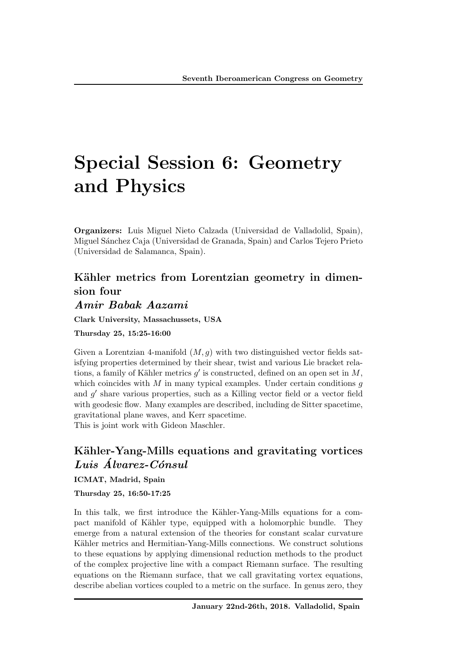# Special Session 6: Geometry and Physics

Organizers: Luis Miguel Nieto Calzada (Universidad de Valladolid, Spain), Miguel S´anchez Caja (Universidad de Granada, Spain) and Carlos Tejero Prieto (Universidad de Salamanca, Spain).

## Kähler metrics from Lorentzian geometry in dimension four

## *Amir Babak Aazami*

Clark University, Massachussets, USA

Thursday 25, 15:25-16:00

Given a Lorentzian 4-manifold  $(M, g)$  with two distinguished vector fields satisfying properties determined by their shear, twist and various Lie bracket relations, a family of Kähler metrics  $q'$  is constructed, defined on an open set in  $M$ , which coincides with *M* in many typical examples. Under certain conditions *g* and  $g'$  share various properties, such as a Killing vector field or a vector field with geodesic flow. Many examples are described, including de Sitter spacetime, gravitational plane waves, and Kerr spacetime. This is joint work with Gideon Maschler.

## Kähler-Yang-Mills equations and gravitating vortices *Luis Alvarez-C´onsul ´*

ICMAT, Madrid, Spain

Thursday 25, 16:50-17:25

In this talk, we first introduce the Kähler-Yang-Mills equations for a compact manifold of Kähler type, equipped with a holomorphic bundle. They emerge from a natural extension of the theories for constant scalar curvature Kähler metrics and Hermitian-Yang-Mills connections. We construct solutions to these equations by applying dimensional reduction methods to the product of the complex projective line with a compact Riemann surface. The resulting equations on the Riemann surface, that we call gravitating vortex equations, describe abelian vortices coupled to a metric on the surface. In genus zero, they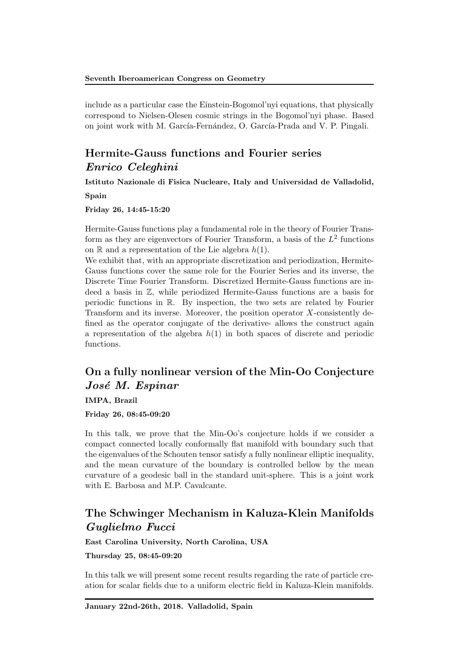include as a particular case the Einstein-Bogomol'nyi equations, that physically correspond to Nielsen-Olesen cosmic strings in the Bogomol'nyi phase. Based on joint work with M. García-Fernández, O. García-Prada and V. P. Pingali.

## Hermite-Gauss functions and Fourier series *Enrico Celeghini*

Istituto Nazionale di Fisica Nucleare, Italy and Universidad de Valladolid, Spain

Friday 26, 14:45-15:20

Hermite-Gauss functions play a fundamental role in the theory of Fourier Transform as they are eigenvectors of Fourier Transform, a basis of the *L*<sup>2</sup> functions on  $\mathbb R$  and a representation of the Lie algebra  $h(1)$ .

We exhibit that, with an appropriate discretization and periodization, Hermite-Gauss functions cover the same role for the Fourier Series and its inverse, the Discrete Time Fourier Transform. Discretized Hermite-Gauss functions are indeed a basis in Z, while periodized Hermite-Gauss functions are a basis for periodic functions in R. By inspection, the two sets are related by Fourier Transform and its inverse. Moreover, the position operator *X*-consistently defined as the operator conjugate of the derivative- allows the construct again a representation of the algebra  $h(1)$  in both spaces of discrete and periodic functions.

## On a fully nonlinear version of the Min-Oo Conjecture *Jos´e M. Espinar*

IMPA, Brazil

Friday 26, 08:45-09:20

In this talk, we prove that the Min-Oo's conjecture holds if we consider a compact connected locally conformally flat manifold with boundary such that the eigenvalues of the Schouten tensor satisfy a fully nonlinear elliptic inequality, and the mean curvature of the boundary is controlled bellow by the mean curvature of a geodesic ball in the standard unit-sphere. This is a joint work with E. Barbosa and M.P. Cavalcante.

## The Schwinger Mechanism in Kaluza-Klein Manifolds *Guglielmo Fucci*

East Carolina University, North Carolina, USA

Thursday 25, 08:45-09:20

In this talk we will present some recent results regarding the rate of particle creation for scalar fields due to a uniform electric field in Kaluza-Klein manifolds.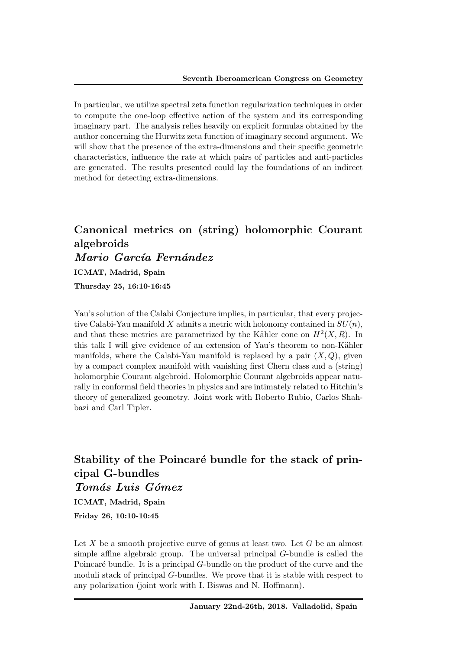In particular, we utilize spectral zeta function regularization techniques in order to compute the one-loop effective action of the system and its corresponding imaginary part. The analysis relies heavily on explicit formulas obtained by the author concerning the Hurwitz zeta function of imaginary second argument. We will show that the presence of the extra-dimensions and their specific geometric characteristics, influence the rate at which pairs of particles and anti-particles are generated. The results presented could lay the foundations of an indirect method for detecting extra-dimensions.

## Canonical metrics on (string) holomorphic Courant algebroids *Mario Garc´ıa Fern´andez*

ICMAT, Madrid, Spain

Thursday 25, 16:10-16:45

Yau's solution of the Calabi Conjecture implies, in particular, that every projective Calabi-Yau manifold *X* admits a metric with holonomy contained in *SU*(*n*), and that these metrics are parametrized by the Kähler cone on  $H^2(X, R)$ . In this talk I will give evidence of an extension of Yau's theorem to non-Kähler manifolds, where the Calabi-Yau manifold is replaced by a pair  $(X,Q)$ , given by a compact complex manifold with vanishing first Chern class and a (string) holomorphic Courant algebroid. Holomorphic Courant algebroids appear naturally in conformal field theories in physics and are intimately related to Hitchin's theory of generalized geometry. Joint work with Roberto Rubio, Carlos Shahbazi and Carl Tipler.

Stability of the Poincaré bundle for the stack of principal G-bundles *Tom´as Luis G´omez* ICMAT, Madrid, Spain Friday 26, 10:10-10:45

Let *X* be a smooth projective curve of genus at least two. Let *G* be an almost simple affine algebraic group. The universal principal  $G$ -bundle is called the Poincaré bundle. It is a principal *G*-bundle on the product of the curve and the moduli stack of principal *G*-bundles. We prove that it is stable with respect to any polarization (joint work with I. Biswas and N. Hoffmann).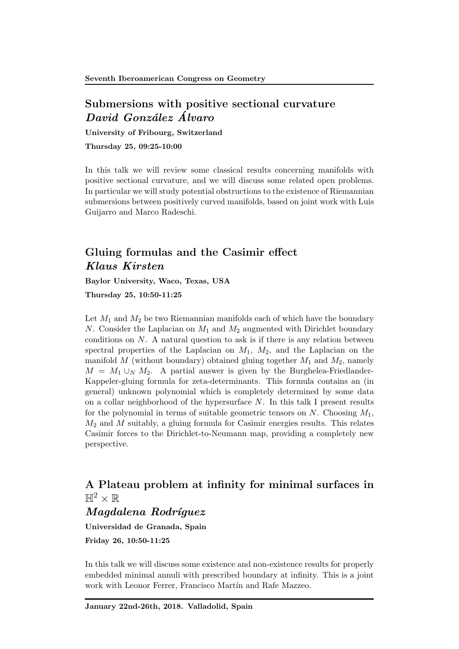#### Submersions with positive sectional curvature *David Gonz´alez Alvaro ´*

University of Fribourg, Switzerland

Thursday 25, 09:25-10:00

In this talk we will review some classical results concerning manifolds with positive sectional curvature, and we will discuss some related open problems. In particular we will study potential obstructions to the existence of Riemannian submersions between positively curved manifolds, based on joint work with Luis Guijarro and Marco Radeschi.

## Gluing formulas and the Casimir effect *Klaus Kirsten*

Baylor University, Waco, Texas, USA

Thursday 25, 10:50-11:25

Let  $M_1$  and  $M_2$  be two Riemannian manifolds each of which have the boundary *N*. Consider the Laplacian on *M*<sup>1</sup> and *M*<sup>2</sup> augmented with Dirichlet boundary conditions on *N*. A natural question to ask is if there is any relation between spectral properties of the Laplacian on  $M_1$ ,  $M_2$ , and the Laplacian on the manifold *M* (without boundary) obtained gluing together *M*<sup>1</sup> and *M*2, namely  $M = M_1 \cup_N M_2$ . A partial answer is given by the Burghelea-Friedlander-Kappeler-gluing formula for zeta-determinants. This formula contains an (in general) unknown polynomial which is completely determined by some data on a collar neighborhood of the hypersurface *N*. In this talk I present results for the polynomial in terms of suitable geometric tensors on *N*. Choosing *M*1, *M*<sup>2</sup> and *M* suitably, a gluing formula for Casimir energies results. This relates Casimir forces to the Dirichlet-to-Neumann map, providing a completely new perspective.

## A Plateau problem at infinity for minimal surfaces in  $\mathbb{H}^2\times\mathbb{R}$

#### *Magdalena Rodr´ıguez*

Universidad de Granada, Spain

Friday 26, 10:50-11:25

In this talk we will discuss some existence and non-existence results for properly embedded minimal annuli with prescribed boundary at infinity. This is a joint work with Leonor Ferrer, Francisco Martín and Rafe Mazzeo.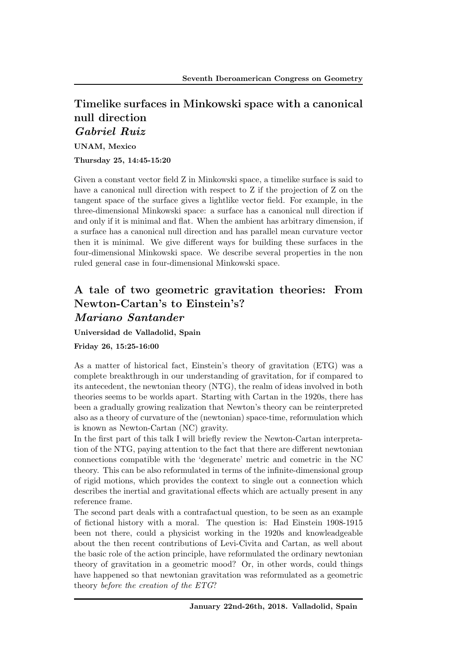## Timelike surfaces in Minkowski space with a canonical null direction *Gabriel Ruiz*

UNAM, Mexico

Thursday 25, 14:45-15:20

Given a constant vector field Z in Minkowski space, a timelike surface is said to have a canonical null direction with respect to Z if the projection of Z on the tangent space of the surface gives a lightlike vector field. For example, in the three-dimensional Minkowski space: a surface has a canonical null direction if and only if it is minimal and flat. When the ambient has arbitrary dimension, if a surface has a canonical null direction and has parallel mean curvature vector then it is minimal. We give different ways for building these surfaces in the four-dimensional Minkowski space. We describe several properties in the non ruled general case in four-dimensional Minkowski space.

## A tale of two geometric gravitation theories: From Newton-Cartan's to Einstein's? *Mariano Santander*

Universidad de Valladolid, Spain

#### Friday 26, 15:25-16:00

As a matter of historical fact, Einstein's theory of gravitation (ETG) was a complete breakthrough in our understanding of gravitation, for if compared to its antecedent, the newtonian theory (NTG), the realm of ideas involved in both theories seems to be worlds apart. Starting with Cartan in the 1920s, there has been a gradually growing realization that Newton's theory can be reinterpreted also as a theory of curvature of the (newtonian) space-time, reformulation which is known as Newton-Cartan (NC) gravity.

In the first part of this talk I will briefly review the Newton-Cartan interpretation of the NTG, paying attention to the fact that there are different newtonian connections compatible with the 'degenerate' metric and cometric in the NC theory. This can be also reformulated in terms of the infinite-dimensional group of rigid motions, which provides the context to single out a connection which describes the inertial and gravitational effects which are actually present in any reference frame.

The second part deals with a contrafactual question, to be seen as an example of fictional history with a moral. The question is: Had Einstein 1908-1915 been not there, could a physicist working in the 1920s and knowleadgeable about the then recent contributions of Levi-Civita and Cartan, as well about the basic role of the action principle, have reformulated the ordinary newtonian theory of gravitation in a geometric mood? Or, in other words, could things have happened so that newtonian gravitation was reformulated as a geometric theory *before the creation of the ETG*?